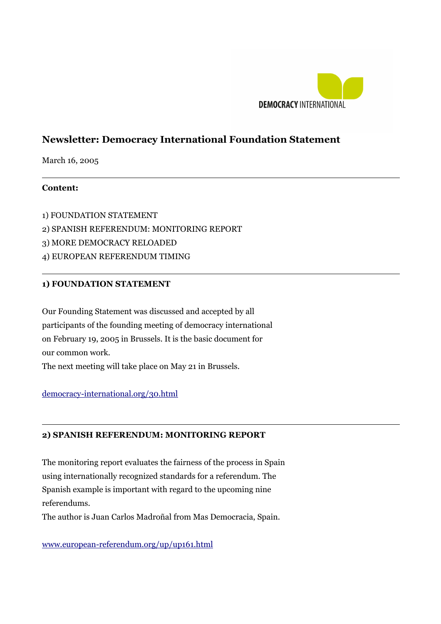

# **Newsletter: Democracy International Foundation Statement**

March 16, 2005

# **Content:**

 $\overline{a}$ 

 $\overline{a}$ 

 $\overline{a}$ 

1) FOUNDATION STATEMENT 2) SPANISH REFERENDUM: MONITORING REPORT 3) MORE DEMOCRACY RELOADED 4) EUROPEAN REFERENDUM TIMING

## **1) FOUNDATION STATEMENT**

Our Founding Statement was discussed and accepted by all participants of the founding meeting of democracy international on February 19, 2005 in Brussels. It is the basic document for our common work. The next meeting will take place on May 21 in Brussels.

#### [democracy-international.org/30.html](http://democracy-international.org/30.html)

# **2) SPANISH REFERENDUM: MONITORING REPORT**

The monitoring report evaluates the fairness of the process in Spain using internationally recognized standards for a referendum. The Spanish example is important with regard to the upcoming nine referendums.

The author is Juan Carlos Madroñal from Mas Democracia, Spain.

[www.european-referendum.org/up/up161.html](http://www.european-referendum.org/up/up161.html)